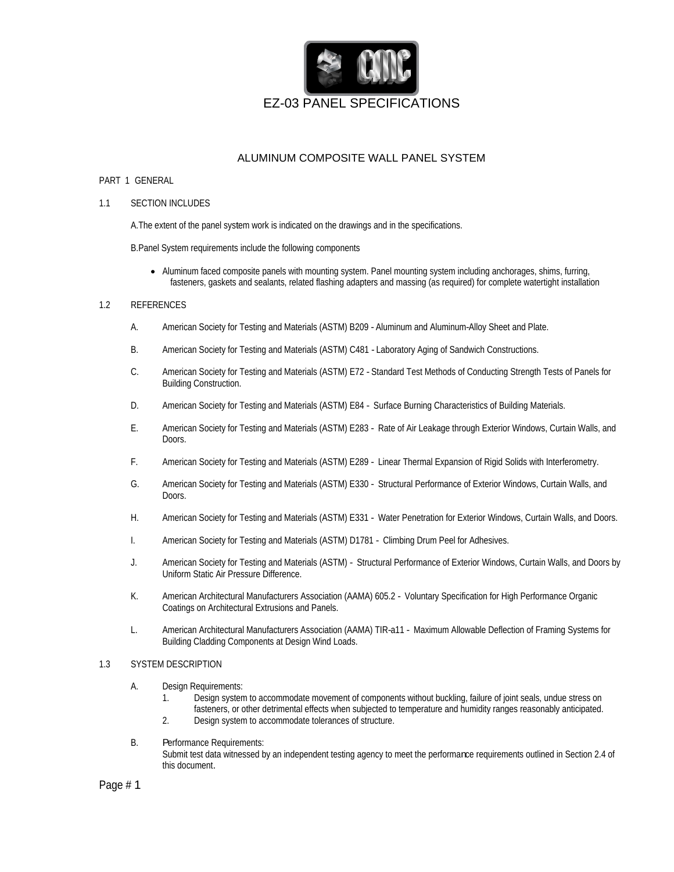

## ALUMINUM COMPOSITE WALL PANEL SYSTEM

#### PART 1 GENERAL

#### 1.1 SECTION INCLUDES

A.The extent of the panel system work is indicated on the drawings and in the specifications.

B.Panel System requirements include the following components

Aluminum faced composite panels with mounting system. Panel mounting system including anchorages, shims, furring, fasteners, gaskets and sealants, related flashing adapters and massing (as required) for complete watertight installation

#### 1.2 REFERENCES

- A. American Society for Testing and Materials (ASTM) B209 Aluminum and Aluminum-Alloy Sheet and Plate.
- B. American Society for Testing and Materials (ASTM) C481 Laboratory Aging of Sandwich Constructions.
- C. American Society for Testing and Materials (ASTM) E72 Standard Test Methods of Conducting Strength Tests of Panels for Building Construction.
- D. American Society for Testing and Materials (ASTM) E84 Surface Burning Characteristics of Building Materials.
- E. American Society for Testing and Materials (ASTM) E283 Rate of Air Leakage through Exterior Windows, Curtain Walls, and Doors. In the contract of the contract of the contract of the contract of the contract of the contract of the contract of the contract of the contract of the contract of the contract of the contract of the contract of the
- F. American Society for Testing and Materials (ASTM) E289 Linear Thermal Expansion of Rigid Solids with Interferometry.
- G. American Society for Testing and Materials (ASTM) E330 Structural Performance of Exterior Windows, Curtain Walls, and Doors. In the contract of the contract of the contract of the contract of the contract of the contract of the contract of the contract of the contract of the contract of the contract of the contract of the contract of the
- H. American Society for Testing and Materials (ASTM) E331 Water Penetration for Exterior Windows, Curtain Walls, and Doors.
- I. American Society for Testing and Materials (ASTM) D1781 Climbing Drum Peel for Adhesives.
- J. American Society for Testing and Materials (ASTM) Structural Performance of Exterior Windows, Curtain Walls, and Doors by Uniform Static Air Pressure Difference.
- K. American Architectural Manufacturers Association (AAMA) 605.2 Voluntary Specification for High Performance Organic Coatings on Architectural Extrusions and Panels.
- L. American Architectural Manufacturers Association (AAMA) TIR-a11 Maximum Allowable Deflection of Framing Systems for Building Cladding Components at Design Wind Loads.

#### 1.3 SYSTEM DESCRIPTION

- A. Design Requirements:
	- 1. Design system to accommodate movement of components without buckling, failure of joint seals, undue stress on fasteners, or other detrimental effects when subjected to temperature and humidity ranges reasonably anticipated.
	- 2. Design system to accommodate tolerances of structure.
- B. Performance Requirements: Submit test data witnessed by an independent testing agency to meet the performance requirements outlined in Section 2.4 of this document.

Page # 1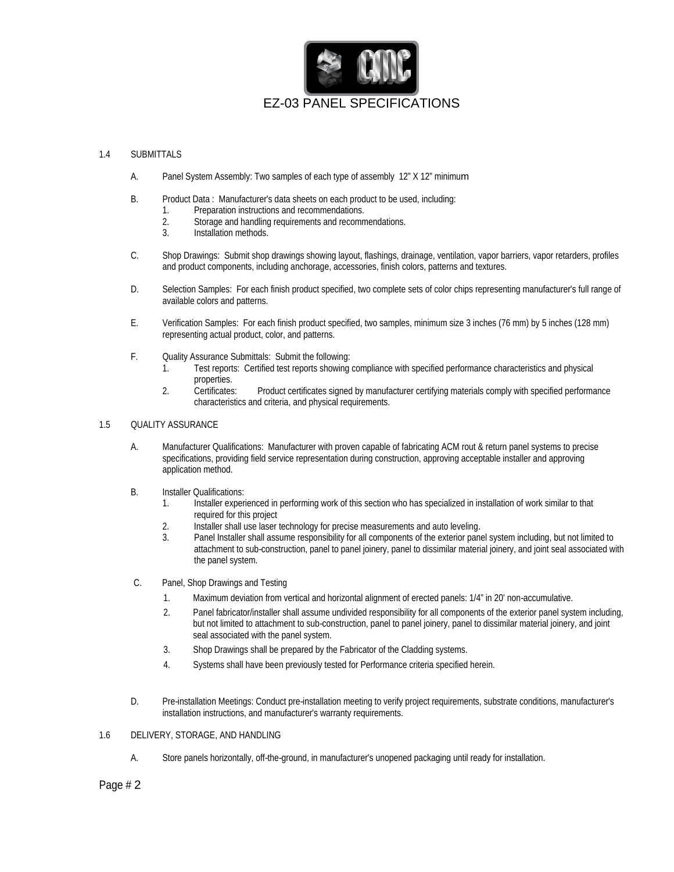

#### 1.4 SUBMITTALS

- A. Panel System Assembly: Two samples of each type of assembly 12" X 12" minimum
- B. Product Data : Manufacturer's data sheets on each product to be used, including:
	- 1. Preparation instructions and recommendations.
	- 2. Storage and handling requirements and recommendations.
	- 3. Installation methods.
- C. Shop Drawings: Submit shop drawings showing layout, flashings, drainage, ventilation, vapor barriers, vapor retarders, profiles and product components, including anchorage, accessories, finish colors, patterns and textures.
- D. Selection Samples: For each finish product specified, two complete sets of color chips representing manufacturer's full range of available colors and patterns.
- E. Verification Samples: For each finish product specified, two samples, minimum size 3 inches (76 mm) by 5 inches (128 mm) representing actual product, color, and patterns.
- F. Quality Assurance Submittals: Submit the following:
	- 1. Test reports: Certified test reports showing compliance with specified performance characteristics and physical properties. The contract of the contract of the contract of the contract of the contract of the contract of the contract of the contract of the contract of the contract of the contract of the contract of the contract of th
	- 2. Certificates: Product certificates signed by manufacturer certifying materials comply with specified performance characteristics and criteria, and physical requirements.

#### 1.5 QUALITY ASSURANCE

- A. Manufacturer Qualifications: Manufacturer with proven capable of fabricating ACM rout & return panel systems to precise specifications, providing field service representation during construction, approving acceptable installer and approving application method.
- B. Installer Qualifications: the contract of the contract of the contract of the contract of the contract of the contract of the contract of the contract of the contract of the contract of the contract of the contract of t
	- 1. Installer experienced in performing work of this section who has specialized in installation of work similar to that required for this project
	- 2. Installer shall use laser technology for precise measurements and auto leveling.
	- 3. Panel Installer shall assume responsibility for all components of the exterior panel system including, but not limited to attachment to sub-construction, panel to panel joinery, panel to dissimilar material joinery, and joint seal associated with the panel system.
- C. Panel, Shop Drawings and Testing
	- 1. Maximum deviation from vertical and horizontal alignment of erected panels: 1/4" in 20' non-accumulative.
	- 2. Panel fabricator/installer shall assume undivided responsibility for all components of the exterior panel system including, but not limited to attachment to sub-construction, panel to panel joinery, panel to dissimilar material joinery, and joint seal associated with the panel system.
	- 3. Shop Drawings shall be prepared by the Fabricator of the Cladding systems.
	- 4. Systems shall have been previously tested for Performance criteria specified herein.
- D. Pre-installation Meetings: Conduct pre-installation meeting to verify project requirements, substrate conditions, manufacturer's installation instructions, and manufacturer's warranty requirements.

#### 1.6 DELIVERY, STORAGE, AND HANDLING

A. Store panels horizontally, off-the-ground, in manufacturer's unopened packaging until ready for installation.

## Page # 2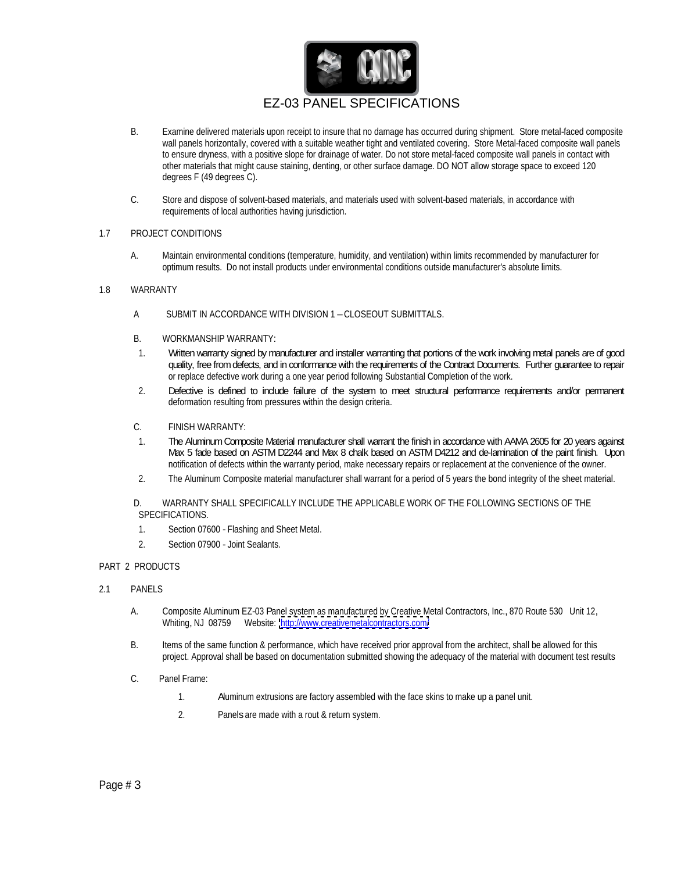

- B. Examine delivered materials upon receipt to insure that no damage has occurred during shipment. Store metal-faced composite wall panels horizontally, covered with a suitable weather tight and ventilated covering. Store Metal-faced composite wall panels to ensure dryness, with a positive slope for drainage of water. Do not store metal-faced composite wall panels in contact with other materials that might cause staining, denting, or other surface damage. DO NOT allow storage space to exceed 120 degrees F (49 degrees C).
- C. Store and dispose of solvent-based materials, and materials used with solvent-based materials, in accordance with requirements of local authorities having jurisdiction.

#### 1.7 PROJECT CONDITIONS

A. Maintain environmental conditions (temperature, humidity, and ventilation) within limits recommended by manufacturer for optimum results. Do not install products under environmental conditions outside manufacturer's absolute limits.

#### 1.8 WARRANTY

- A SUBMIT IN ACCORDANCE WITH DIVISION 1 –CLOSEOUT SUBMITTALS.
- B. WORKMANSHIP WARRANTY:
- 1. Written warranty signed by manufacturer and installer warranting that portions of the work involving metal panels are of good quality, free fromdefects, and in conformance with the requirements of the Contract Documents. Further guarantee to repair or replace defective work during a one year period following Substantial Completion of the work.
- 2. Defective is defined to include failure of the system to meet structural performance requirements and/or permanent deformation resulting from pressures within the design criteria.
- C. FINISH WARRANTY:
- 1. The AluminumComposite Material manufacturer shall warrant the finish in accordance with AAMA2605 for 20 years against Max 5 fade based on ASTM D2244 and Max 8 chalk based on ASTM D4212 and de-lamination of the paint finish. Upon notification of defects within the warranty period, make necessary repairs or replacement at the convenience of the owner.
- 2. The Aluminum Composite material manufacturer shall warrant for a period of 5 years the bond integrity of the sheet material.

D. WARRANTY SHALL SPECIFICALLY INCLUDE THE APPLICABLE WORK OF THE FOLLOWING SECTIONS OF THE SPECIFICATIONS.

- 1. Section 07600 Flashing and Sheet Metal.
- 2. Section 07900 Joint Sealants.

### PART 2 PRODUCTS

- 2.1 PANELS
	- A. Composite Aluminum EZ-03 Panel system as manufactured by Creative Metal Contractors, Inc., 870 Route 530 Unit 12, Whiting, NJ 08759 Website: <http://www.creativemetalcontractors.com/>
	- B. Items of the same function & performance, which have received prior approval from the architect, shall be allowed for this project. Approval shall be based on documentation submitted showing the adequacy of the material with document test results
	- C. Panel Frame:
		- 1. Aluminum extrusions are factory assembled with the face skins to make up a panel unit.
		- 2. Panels are made with a rout & return system.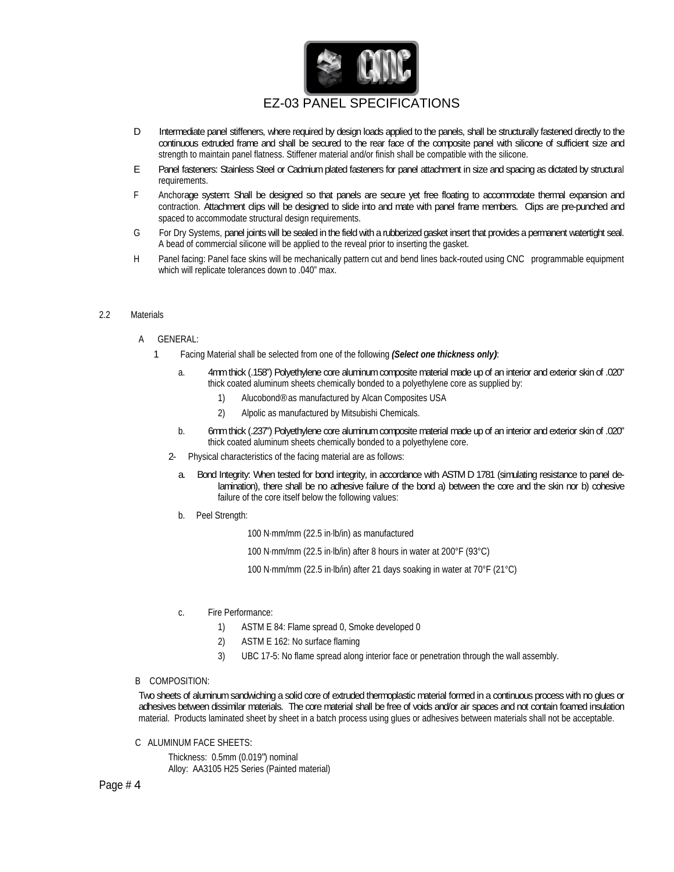

- D Intermediate panel stiffeners, where required by design loads applied to the panels, shall be structurally fastened directly to the continuous extruded frame and shall be secured to the rear face of the composite panel with silicone of sufficient size and strength to maintain panel flatness. Stiffener material and/or finish shall be compatible with the silicone.<br>E Panel fasteners: Stainless Steel or Cadmium plated fasteners for panel attachment in size and spacing as dictat
- requirements.
- F Anchorage system: Shall be designed so that panels are secure yet free floating to accommodate thermal expansion and contraction. Attachment clips will be designed to slide into and mate with panel frame members. Clips are pre-punched and spaced to accommodate structural design requirements.
- G For Dry Systems, panel joints will besealed inthefieldwith arubberized gasket insert that provides a permanent watertight seal. A bead of commercial silicone will be applied to the reveal prior to inserting the gasket.<br>H Panel facing: Panel face skins will be mechanically pattern cut and bend lines back-routed using CNC programmable equipment
- which will replicate tolerances down to .040" max.

#### 2.2 Materials

- A GENERAL:
	- 1 Facing Material shall be selected from one of the following **(Select one thickness only)**:
		- a. 4mmthick (.158") Polyethylene core aluminumcomposite material made up of an interior and exterior skin of .020" thick coated aluminum sheets chemically bonded to a polyethylene core as supplied by:
			- 1) Alucobond®as manufactured by Alcan Composites USA
			-
		- 2) Alpolic as manufactured by Mitsubishi Chemicals.<br>b. 6mm thick (.237") Polyethylene core aluminum composite material made up of an interior and exterior skin of thick coated aluminum sheets chemically bonded to a polyethylene core.
		- 2- Physical characteristics of the facing material are as follows:
			- a. Bond Integrity: When tested for bond integrity, in accordance with ASTM D 1781 (simulating resistance to panel delamination), there shall be no adhesive failure of the bond a) between the core and the skin nor b) cohesive failure of the core itself below the following values:
			- b. Peel Strength:

100 N·mm/mm (22.5 in·lb/in) as manufactured

100 N·mm/mm (22.5 in·lb/in) after 8 hours in water at 200°F (93°C)

100 N·mm/mm (22.5 in·lb/in) after 21 days soaking in water at 70°F (21°C)

- c. Fire Performance: **Fire Performance**: **Fire Performance**  $\overline{a}$ 
	- 1) ASTM E 84: Flame spread 0, Smoke developed 0
	- 2) ASTM E 162: No surface flaming
	- 3) UBC 17-5: No flame spread along interior face or penetration through the wall assembly.
- B COMPOSITION:

Two sheets of aluminumsandwiching a solid core of extruded thermoplastic material formed in a continuous process with no glues or adhesives between dissimilar materials. The core material shall be free of voids and/or air spaces and not contain foamed insulation material. Products laminated sheet by sheet in a batch process using glues or adhesives between materials shall not be acceptable.

C ALUMINUM FACE SHEETS:

Thickness: 0.5mm (0.019") nominal Alloy: AA3105 H25 Series (Painted material)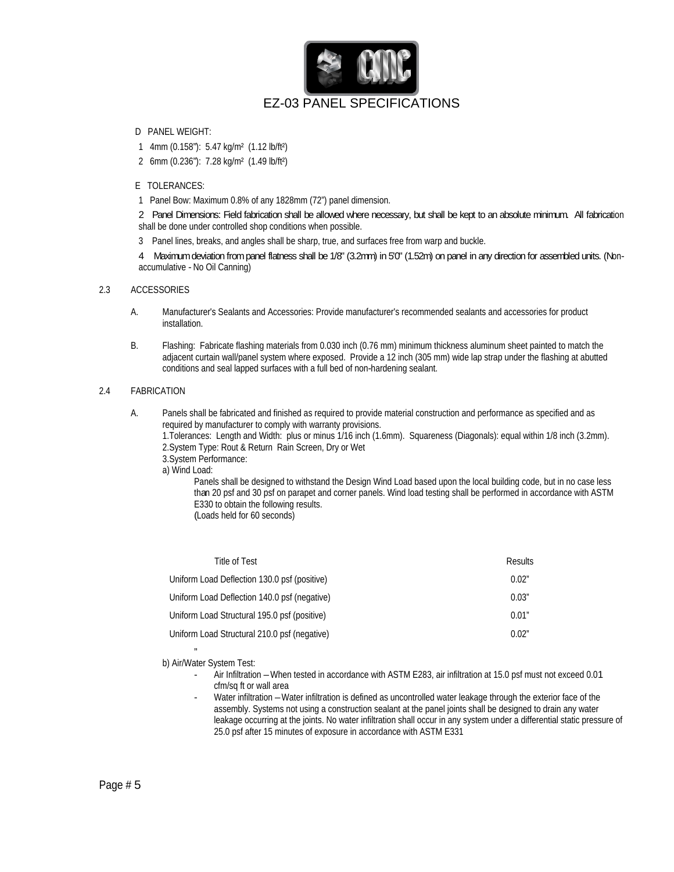

- D PANEL WEIGHT:
	- 1 4mm (0.158"): 5.47 kg/m² (1.12 lb/ft²)
	- 2 6mm (0.236"): 7.28 kg/m² (1.49 lb/ft²)
- E TOLERANCES:
	- 1 Panel Bow: Maximum 0.8% of any 1828mm (72") panel dimension.

2 Panel Dimensions: Field fabrication shall be allowed where necessary, but shall be kept to an absolute minimum. All fabrication shall be done under controlled shop conditions when possible.

3 Panel lines, breaks, and angles shall be sharp, true, and surfaces free from warp and buckle.

4 Maximum deviation from panel flatness shall be 1/8" (3.2mm) in 50" (1.52m) on panel in any direction for assembled units. (Nonaccumulative - No Oil Canning)

#### 2.3 ACCESSORIES

- A. Manufacturer's Sealants and Accessories: Provide manufacturer's recommended sealants and accessories for product installation.
- B. Flashing: Fabricate flashing materials from 0.030 inch (0.76 mm) minimum thickness aluminum sheet painted to match the adjacent curtain wall/panel system where exposed. Provide a 12 inch (305 mm) wide lap strap under the flashing at abutted conditions and seal lapped surfaces with a full bed of non-hardening sealant.

#### 2.4 FABRICATION

A. Panels shall be fabricated and finished as required to provide material construction and performance as specified and as required by manufacturer to comply with warranty provisions.

1.Tolerances: Length and Width: plus or minus 1/16 inch (1.6mm). Squareness (Diagonals): equal within 1/8 inch (3.2mm). 2.System Type: Rout & Return Rain Screen, Dry or Wet

3.System Performance:

a) Wind Load:

Panels shall be designed to withstand the Design Wind Load based upon the local building code, but in no case less than 20 psf and 30 psf on parapet and corner panels. Wind load testing shall be performed in accordance with ASTM E330 to obtain the following results. (Loads held for 60 seconds)

| Uniform Load Deflection 130.0 psf (positive)<br>0.02  |
|-------------------------------------------------------|
| Uniform Load Deflection 140.0 psf (negative)<br>0.03" |
| Uniform Load Structural 195.0 psf (positive)<br>0.01" |
| Uniform Load Structural 210.0 psf (negative)<br>0.02" |

"

- b) Air/Water System Test: Air Infiltration –When tested in accordance with ASTM E283, air infiltration at 15.0 psf must not exceed 0.01 cfm/sq ft or wall area
	- Water infiltration Water infiltration is defined as uncontrolled water leakage through the exterior face of the assembly. Systems not using a construction sealant at the panel joints shall be designed to drain any water leakage occurring at the joints. No water infiltration shall occur in any system under a differential static pressure of 25.0 psf after 15 minutes of exposure in accordance with ASTM E331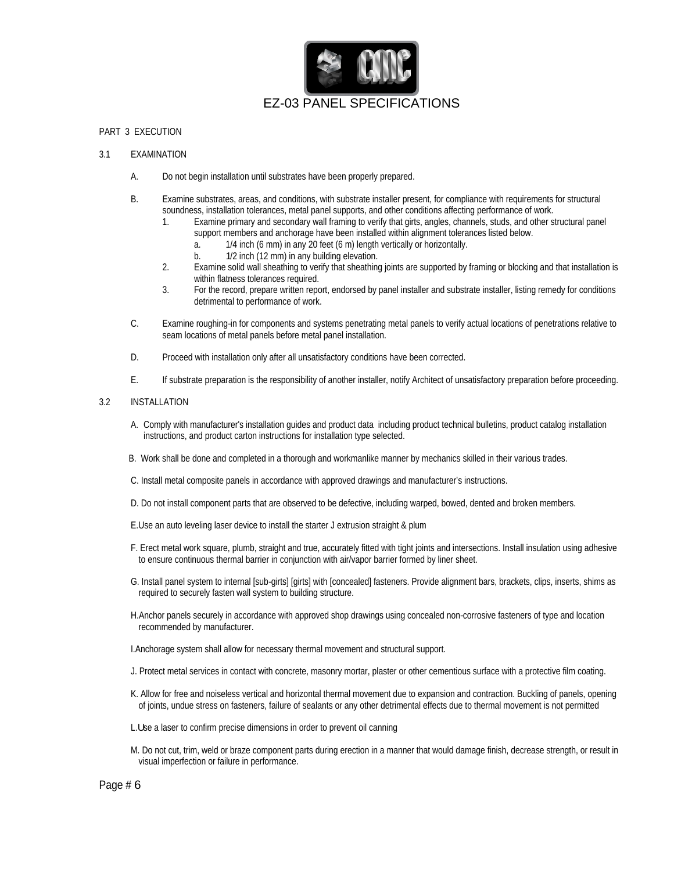

#### PART 3 EXECUTION

- 3.1 EXAMINATION
	- A. Do not begin installation until substrates have been properly prepared.
	- B. Examine substrates, areas, and conditions, with substrate installer present, for compliance with requirements for structural soundness, installation tolerances, metal panel supports, and other conditions affecting performance of work.
		- 1. Examine primary and secondary wall framing to verify that girts, angles, channels, studs, and other structural panel support members and anchorage have been installed within alignment tolerances listed below.
			- a. 1/4 inch (6 mm) in any 20 feet (6 m) length vertically or horizontally.
			- b. 1/2 inch (12 mm) in any building elevation.
		- 2. Examine solid wall sheathing to verify that sheathing joints are supported by framing or blocking and that installation is within flatness tolerances required.
		- 3. For the record, prepare written report, endorsed by panel installer and substrate installer, listing remedy for conditions detrimental to performance of work.
	- C. Examine roughing-in for components and systems penetrating metal panels to verify actual locations of penetrations relative to seam locations of metal panels before metal panel installation.
	- D. Proceed with installation only after all unsatisfactory conditions have been corrected.
	- E. If substrate preparation is the responsibility of another installer, notify Architect of unsatisfactory preparation before proceeding.

#### 3.2 INSTALLATION

- A. Comply with manufacturer's installation guides and product data including product technical bulletins, product catalog installation instructions, and product carton instructions for installation type selected.
- B. Work shall be done and completed in a thorough and workmanlike manner by mechanics skilled in their various trades.
- C. Install metal composite panels in accordance with approved drawings and manufacturer's instructions.
- D. Do not install component parts that are observed to be defective, including warped, bowed, dented and broken members.
- E.Use an auto leveling laser device to install the starter J extrusion straight & plum
- F. Erect metal work square, plumb, straight and true, accurately fitted with tight joints and intersections. Install insulation using adhesive to ensure continuous thermal barrier in conjunction with air/vapor barrier formed by liner sheet.
- G. Install panel system to internal [sub-girts] [girts] with [concealed] fasteners. Provide alignment bars, brackets, clips, inserts, shims as required to securely fasten wall system to building structure.
- H.Anchor panels securely in accordance with approved shop drawings using concealed non-corrosive fasteners of type and location recommended by manufacturer.
- I.Anchorage system shall allow for necessary thermal movement and structural support.
- J. Protect metal services in contact with concrete, masonry mortar, plaster or other cementious surface with a protective film coating.
- K. Allow for free and noiseless vertical and horizontal thermal movement due to expansion and contraction. Buckling of panels, opening of joints, undue stress on fasteners, failure of sealants or any other detrimental effects due to thermal movement is not permitted
- L.Use a laser to confirm precise dimensions in order to prevent oil canning
- M. Do not cut, trim, weld or braze component parts during erection in a manner that would damage finish, decrease strength, or result in visual imperfection or failure in performance.

Page # 6